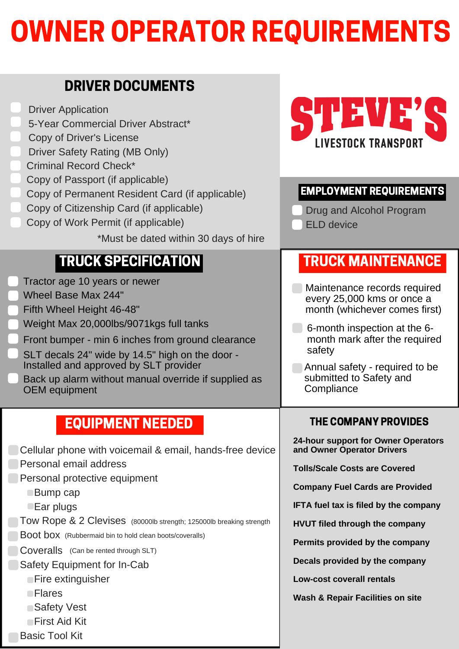## OWNER OPERATOR REQUIREMENTS

 $\mathcal{L}$  , the set of  $\mathcal{L}$ 

## DRIVER DOCUMENTS

| <b>Driver Application</b><br>5-Year Commercial Driver Abstract*<br><b>Copy of Driver's License</b><br><b>Driver Safety Rating (MB Only)</b><br>Criminal Record Check*                                           | <b>LIVESTOCK TRANSPORT</b>                                                                  |
|-----------------------------------------------------------------------------------------------------------------------------------------------------------------------------------------------------------------|---------------------------------------------------------------------------------------------|
| Copy of Passport (if applicable)<br>Copy of Permanent Resident Card (if applicable)<br>Copy of Citizenship Card (if applicable)<br>Copy of Work Permit (if applicable)<br>*Must be dated within 30 days of hire | <b>EMPLOYMENT REQUIREMENTS</b><br>Drug and Alcohol Program<br><b>ELD device</b>             |
| <b>TRUCK SPECIFICATION</b>                                                                                                                                                                                      | <b>TRUCK MAINTENANCE</b>                                                                    |
| Tractor age 10 years or newer<br><b>Wheel Base Max 244"</b><br>Fifth Wheel Height 46-48"                                                                                                                        | Maintenance records required<br>every 25,000 kms or once a<br>month (whichever comes first) |
| Weight Max 20,000lbs/9071kgs full tanks<br>Front bumper - min 6 inches from ground clearance                                                                                                                    | 6-month inspection at the 6-<br>month mark after the required                               |

| SLT decals 24" wide by 14.5" high on the door -<br>Installed and approved by SLT provider<br>Back up alarm without manual override if supplied as<br><b>OEM</b> equipment | safety<br>Annual safety - required to be<br>submitted to Safety and<br>Compliance |
|---------------------------------------------------------------------------------------------------------------------------------------------------------------------------|-----------------------------------------------------------------------------------|
| <b>EQUIPMENT NEEDED</b>                                                                                                                                                   | <b>THE COMPANY PROVIDES</b>                                                       |
| Cellular phone with voicemail & email, hands-free device                                                                                                                  | <b>24-hour support for Owner Operators</b><br>and Owner Operator Drivers          |
| <b>Personal email address</b>                                                                                                                                             | <b>Tolls/Scale Costs are Covered</b>                                              |
| Personal protective equipment<br><b>Bump cap</b>                                                                                                                          | <b>Company Fuel Cards are Provided</b>                                            |
| Ear plugs                                                                                                                                                                 | <b>IFTA fuel tax is filed by the company</b>                                      |
| Tow Rope $\&$ 2 Clevises (80000lb strength; 125000lb breaking strength                                                                                                    | <b>HVUT filed through the company</b>                                             |
| <b>Boot box</b> (Rubbermaid bin to hold clean boots/coveralls)                                                                                                            | <b>Permits provided by the company</b>                                            |
| <b>Coveralls</b> (Can be rented through SLT)<br><b>Safety Equipment for In-Cab</b>                                                                                        | Decals provided by the company                                                    |
| ■Fire extinguisher                                                                                                                                                        | <b>Low-cost coverall rentals</b>                                                  |
| <b>• Flares</b>                                                                                                                                                           | <b>Wash &amp; Repair Facilities on site</b>                                       |
| <b>Safety Vest</b>                                                                                                                                                        |                                                                                   |
| <b>First Aid Kit</b>                                                                                                                                                      |                                                                                   |
| <b>Basic Tool Kit</b>                                                                                                                                                     |                                                                                   |